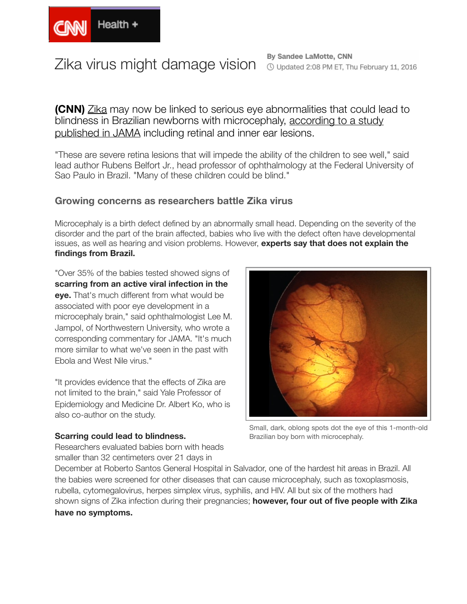Health +

By Sandee LaMotte, CNN Zika virus might damage vision **oupdated 2:08 PM ET, Thu February 11, 2016** 

**(CNN)** [Zika](http://www.cnn.com/specials/health/zika) may now be linked to serious eye abnormalities that could lead to blindness in Brazilian newborns with microcephaly, [according to a study](http://archopht.jamanetwork.com/article.aspx?articleid=2491896)  [published in JAMA](http://archopht.jamanetwork.com/article.aspx?articleid=2491896) including retinal and inner ear lesions.

"These are severe retina lesions that will impede the ability of the children to see well," said lead author Rubens Belfort Jr., head professor of ophthalmology at the Federal University of Sao Paulo in Brazil. "Many of these children could be blind."

## **Growing concerns as researchers battle Zika virus**

Microcephaly is a birth defect defined by an abnormally small head. Depending on the severity of the disorder and the part of the brain affected, babies who live with the defect often have developmental issues, as well as hearing and vision problems. However, **experts say that does not explain the findings from Brazil.**

"Over 35% of the babies tested showed signs of **scarring from an active viral infection in the eye.** That's much different from what would be associated with poor eye development in a microcephaly brain," said ophthalmologist Lee M. Jampol, of Northwestern University, who wrote a corresponding commentary for JAMA. "It's much more similar to what we've seen in the past with Ebola and West Nile virus."

"It provides evidence that the effects of Zika are not limited to the brain," said Yale Professor of Epidemiology and Medicine Dr. Albert Ko, who is also co-author on the study.

## **Scarring could lead to blindness.**

Researchers evaluated babies born with heads smaller than 32 centimeters over 21 days in

December at Roberto Santos General Hospital in Salvador, one of the hardest hit areas in Brazil. All the babies were screened for other diseases that can cause microcephaly, such as toxoplasmosis, rubella, cytomegalovirus, herpes simplex virus, syphilis, and HIV. All but six of the mothers had shown signs of Zika infection during their pregnancies; **however, four out of five people with Zika have no symptoms.**

Brazilian boy born with microcephaly.

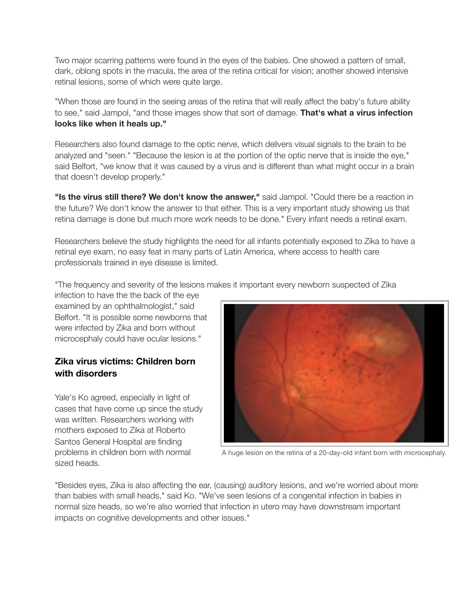Two major scarring patterns were found in the eyes of the babies. One showed a pattern of small, dark, oblong spots in the macula, the area of the retina critical for vision; another showed intensive retinal lesions, some of which were quite large.

"When those are found in the seeing areas of the retina that will really affect the baby's future ability to see," said Jampol, "and those images show that sort of damage. **That's what a virus infection looks like when it heals up."**

Researchers also found damage to the optic nerve, which delivers visual signals to the brain to be analyzed and "seen." "Because the lesion is at the portion of the optic nerve that is inside the eye," said Belfort, "we know that it was caused by a virus and is different than what might occur in a brain that doesn't develop properly."

"Is the virus still there? We don't know the answer," said Jampol. "Could there be a reaction in the future? We don't know the answer to that either. This is a very important study showing us that retina damage is done but much more work needs to be done." Every infant needs a retinal exam.

Researchers believe the study highlights the need for all infants potentially exposed to Zika to have a retinal eye exam, no easy feat in many parts of Latin America, where access to health care professionals trained in eye disease is limited.

"The frequency and severity of the lesions makes it important every newborn suspected of Zika

infection to have the the back of the eye examined by an ophthalmologist," said Belfort. "It is possible some newborns that were infected by Zika and born without microcephaly could have ocular lesions."

## **[Zika virus victims: Children born](http://www.cnn.com/2016/01/27/health/the-children-of-zika/index.html)  [with disorders](http://www.cnn.com/2016/01/27/health/the-children-of-zika/index.html)**

Yale's Ko agreed, especially in light of cases that have come up since the study was written. Researchers working with mothers exposed to Zika at Roberto Santos General Hospital are finding problems in children born with normal sized heads.



A huge lesion on the retina of a 20-day-old infant born with microcephaly.

"Besides eyes, Zika is also affecting the ear, (causing) auditory lesions, and we're worried about more than babies with small heads," said Ko. "We've seen lesions of a congenital infection in babies in normal size heads, so we're also worried that infection in utero may have downstream important impacts on cognitive developments and other issues."